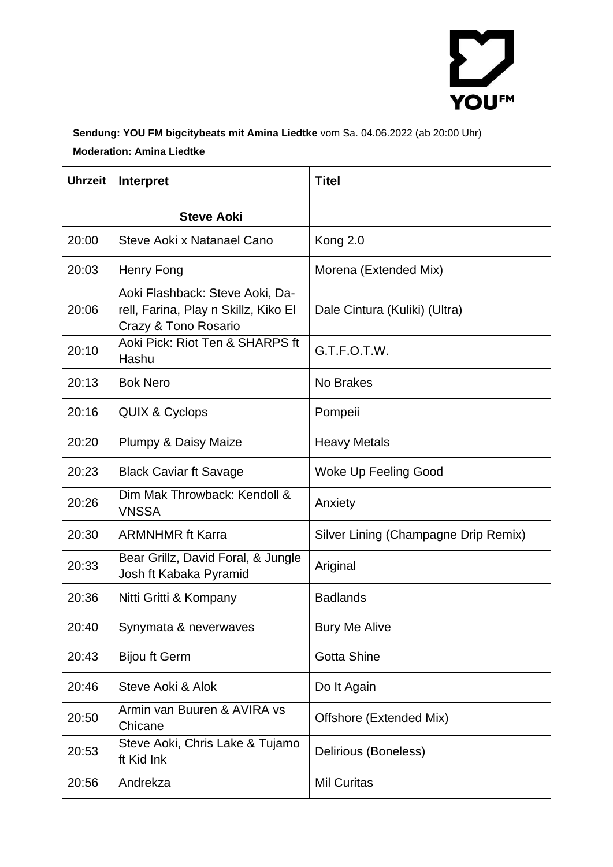

## **Sendung: YOU FM bigcitybeats mit Amina Liedtke** vom Sa. 04.06.2022 (ab 20:00 Uhr) **Moderation: Amina Liedtke**

| <b>Uhrzeit</b> | <b>Interpret</b>                                                                                | <b>Titel</b>                         |
|----------------|-------------------------------------------------------------------------------------------------|--------------------------------------|
|                | <b>Steve Aoki</b>                                                                               |                                      |
| 20:00          | Steve Aoki x Natanael Cano                                                                      | Kong 2.0                             |
| 20:03          | Henry Fong                                                                                      | Morena (Extended Mix)                |
| 20:06          | Aoki Flashback: Steve Aoki, Da-<br>rell, Farina, Play n Skillz, Kiko El<br>Crazy & Tono Rosario | Dale Cintura (Kuliki) (Ultra)        |
| 20:10          | Aoki Pick: Riot Ten & SHARPS ft<br>Hashu                                                        | G.T.F.O.T.W.                         |
| 20:13          | <b>Bok Nero</b>                                                                                 | No Brakes                            |
| 20:16          | <b>QUIX &amp; Cyclops</b>                                                                       | Pompeii                              |
| 20:20          | Plumpy & Daisy Maize                                                                            | <b>Heavy Metals</b>                  |
| 20:23          | <b>Black Caviar ft Savage</b>                                                                   | Woke Up Feeling Good                 |
| 20:26          | Dim Mak Throwback: Kendoll &<br><b>VNSSA</b>                                                    | Anxiety                              |
| 20:30          | <b>ARMNHMR ft Karra</b>                                                                         | Silver Lining (Champagne Drip Remix) |
| 20:33          | Bear Grillz, David Foral, & Jungle<br>Josh ft Kabaka Pyramid                                    | Ariginal                             |
| 20:36          | Nitti Gritti & Kompany                                                                          | <b>Badlands</b>                      |
| 20:40          | Synymata & neverwaves                                                                           | <b>Bury Me Alive</b>                 |
| 20:43          | <b>Bijou ft Germ</b>                                                                            | <b>Gotta Shine</b>                   |
| 20:46          | Steve Aoki & Alok                                                                               | Do It Again                          |
| 20:50          | Armin van Buuren & AVIRA vs<br>Chicane                                                          | Offshore (Extended Mix)              |
| 20:53          | Steve Aoki, Chris Lake & Tujamo<br>ft Kid Ink                                                   | Delirious (Boneless)                 |
| 20:56          | Andrekza                                                                                        | <b>Mil Curitas</b>                   |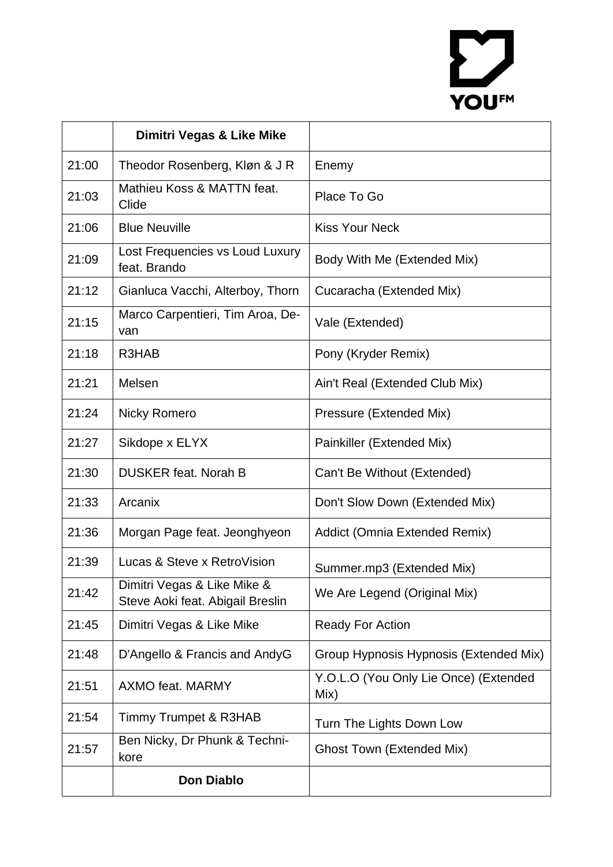## YOU<sup>FM</sup>

|       | Dimitri Vegas & Like Mike                                       |                                               |
|-------|-----------------------------------------------------------------|-----------------------------------------------|
| 21:00 | Theodor Rosenberg, Kløn & J R                                   | Enemy                                         |
| 21:03 | Mathieu Koss & MATTN feat.<br>Clide                             | Place To Go                                   |
| 21:06 | <b>Blue Neuville</b>                                            | <b>Kiss Your Neck</b>                         |
| 21:09 | Lost Frequencies vs Loud Luxury<br>feat. Brando                 | Body With Me (Extended Mix)                   |
| 21:12 | Gianluca Vacchi, Alterboy, Thorn                                | Cucaracha (Extended Mix)                      |
| 21:15 | Marco Carpentieri, Tim Aroa, De-<br>van                         | Vale (Extended)                               |
| 21:18 | R3HAB                                                           | Pony (Kryder Remix)                           |
| 21:21 | Melsen                                                          | Ain't Real (Extended Club Mix)                |
| 21:24 | <b>Nicky Romero</b>                                             | Pressure (Extended Mix)                       |
| 21:27 | Sikdope x ELYX                                                  | Painkiller (Extended Mix)                     |
| 21:30 | <b>DUSKER feat. Norah B</b>                                     | Can't Be Without (Extended)                   |
| 21:33 | Arcanix                                                         | Don't Slow Down (Extended Mix)                |
| 21:36 | Morgan Page feat. Jeonghyeon                                    | Addict (Omnia Extended Remix)                 |
| 21:39 | Lucas & Steve x RetroVision                                     | Summer.mp3 (Extended Mix)                     |
| 21:42 | Dimitri Vegas & Like Mike &<br>Steve Aoki feat. Abigail Breslin | We Are Legend (Original Mix)                  |
| 21:45 | Dimitri Vegas & Like Mike                                       | <b>Ready For Action</b>                       |
| 21:48 | D'Angello & Francis and AndyG                                   | Group Hypnosis Hypnosis (Extended Mix)        |
| 21:51 | <b>AXMO feat. MARMY</b>                                         | Y.O.L.O (You Only Lie Once) (Extended<br>Mix) |
| 21:54 | <b>Timmy Trumpet &amp; R3HAB</b>                                | Turn The Lights Down Low                      |
| 21:57 | Ben Nicky, Dr Phunk & Techni-<br>kore                           | <b>Ghost Town (Extended Mix)</b>              |
|       | <b>Don Diablo</b>                                               |                                               |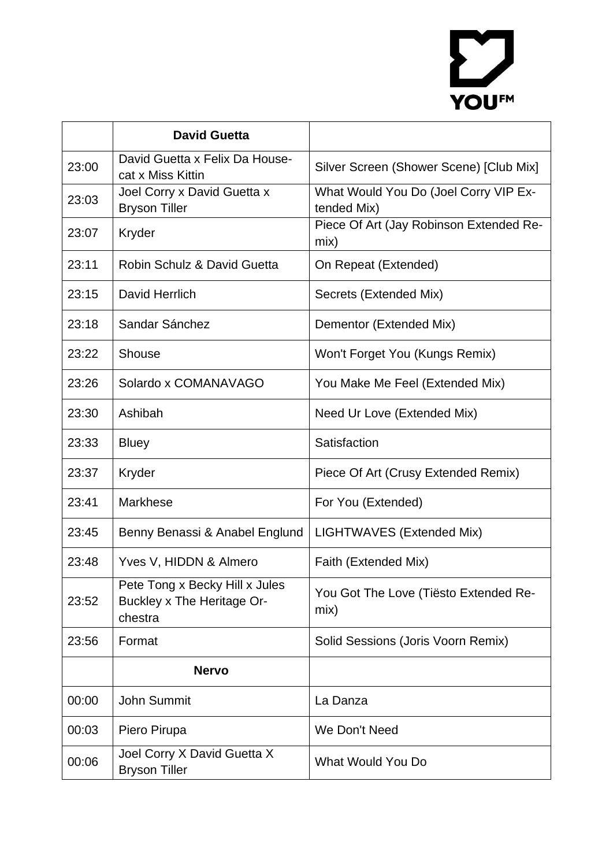## YOUFM

|       | <b>David Guetta</b>                                                            |                                                      |
|-------|--------------------------------------------------------------------------------|------------------------------------------------------|
| 23:00 | David Guetta x Felix Da House-<br>cat x Miss Kittin                            | Silver Screen (Shower Scene) [Club Mix]              |
| 23:03 | Joel Corry x David Guetta x<br><b>Bryson Tiller</b>                            | What Would You Do (Joel Corry VIP Ex-<br>tended Mix) |
| 23:07 | Kryder                                                                         | Piece Of Art (Jay Robinson Extended Re-<br>mix)      |
| 23:11 | Robin Schulz & David Guetta                                                    | On Repeat (Extended)                                 |
| 23:15 | David Herrlich                                                                 | Secrets (Extended Mix)                               |
| 23:18 | Sandar Sánchez                                                                 | Dementor (Extended Mix)                              |
| 23:22 | Shouse                                                                         | Won't Forget You (Kungs Remix)                       |
| 23:26 | Solardo x COMANAVAGO                                                           | You Make Me Feel (Extended Mix)                      |
| 23:30 | Ashibah                                                                        | Need Ur Love (Extended Mix)                          |
| 23:33 | <b>Bluey</b>                                                                   | Satisfaction                                         |
| 23:37 | Kryder                                                                         | Piece Of Art (Crusy Extended Remix)                  |
| 23:41 | <b>Markhese</b>                                                                | For You (Extended)                                   |
| 23:45 | Benny Benassi & Anabel Englund                                                 | LIGHTWAVES (Extended Mix)                            |
| 23:48 | Yves V, HIDDN & Almero                                                         | Faith (Extended Mix)                                 |
| 23:52 | Pete Tong x Becky Hill x Jules<br><b>Buckley x The Heritage Or-</b><br>chestra | You Got The Love (Tiësto Extended Re-<br>mix)        |
| 23:56 | Format                                                                         | Solid Sessions (Joris Voorn Remix)                   |
|       | <b>Nervo</b>                                                                   |                                                      |
| 00:00 | <b>John Summit</b>                                                             | La Danza                                             |
| 00:03 | Piero Pirupa                                                                   | We Don't Need                                        |
| 00:06 | Joel Corry X David Guetta X<br><b>Bryson Tiller</b>                            | What Would You Do                                    |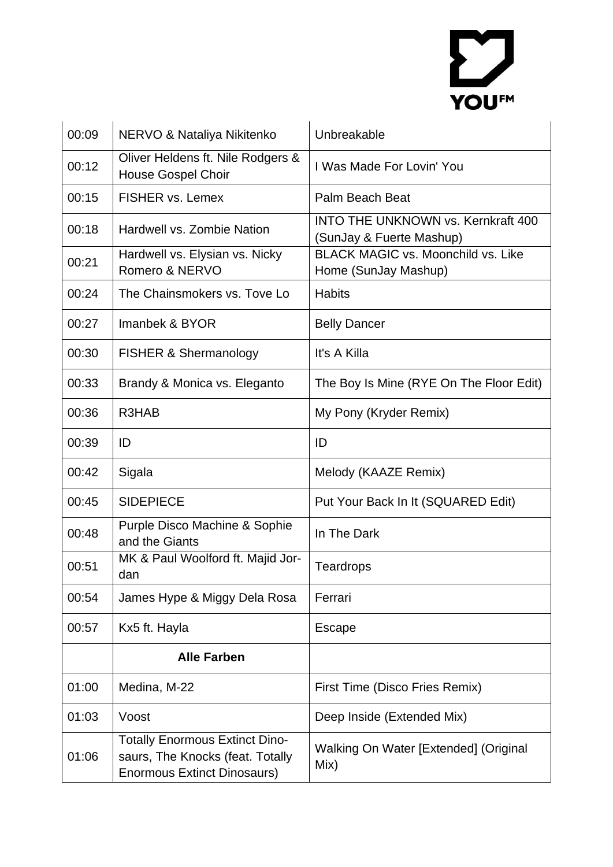

| 00:09 | NERVO & Nataliya Nikitenko                                                                                      | Unbreakable                                                           |
|-------|-----------------------------------------------------------------------------------------------------------------|-----------------------------------------------------------------------|
| 00:12 | Oliver Heldens ft. Nile Rodgers &<br><b>House Gospel Choir</b>                                                  | I Was Made For Lovin' You                                             |
| 00:15 | <b>FISHER vs. Lemex</b>                                                                                         | Palm Beach Beat                                                       |
| 00:18 | Hardwell vs. Zombie Nation                                                                                      | <b>INTO THE UNKNOWN vs. Kernkraft 400</b><br>(SunJay & Fuerte Mashup) |
| 00:21 | Hardwell vs. Elysian vs. Nicky<br>Romero & NERVO                                                                | <b>BLACK MAGIC vs. Moonchild vs. Like</b><br>Home (SunJay Mashup)     |
| 00:24 | The Chainsmokers vs. Tove Lo                                                                                    | <b>Habits</b>                                                         |
| 00:27 | Imanbek & BYOR                                                                                                  | <b>Belly Dancer</b>                                                   |
| 00:30 | <b>FISHER &amp; Shermanology</b>                                                                                | It's A Killa                                                          |
| 00:33 | Brandy & Monica vs. Eleganto                                                                                    | The Boy Is Mine (RYE On The Floor Edit)                               |
| 00:36 | R3HAB                                                                                                           | My Pony (Kryder Remix)                                                |
| 00:39 | ID                                                                                                              | ID                                                                    |
| 00:42 | Sigala                                                                                                          | Melody (KAAZE Remix)                                                  |
| 00:45 | <b>SIDEPIECE</b>                                                                                                | Put Your Back In It (SQUARED Edit)                                    |
| 00:48 | Purple Disco Machine & Sophie<br>and the Giants                                                                 | In The Dark                                                           |
| 00:51 | MK & Paul Woolford ft. Majid Jor-<br>dan                                                                        | Teardrops                                                             |
| 00:54 | James Hype & Miggy Dela Rosa                                                                                    | Ferrari                                                               |
| 00:57 | Kx5 ft. Hayla                                                                                                   | Escape                                                                |
|       | <b>Alle Farben</b>                                                                                              |                                                                       |
| 01:00 | Medina, M-22                                                                                                    | First Time (Disco Fries Remix)                                        |
| 01:03 | Voost                                                                                                           | Deep Inside (Extended Mix)                                            |
| 01:06 | <b>Totally Enormous Extinct Dino-</b><br>saurs, The Knocks (feat. Totally<br><b>Enormous Extinct Dinosaurs)</b> | Walking On Water [Extended] (Original<br>Mix)                         |